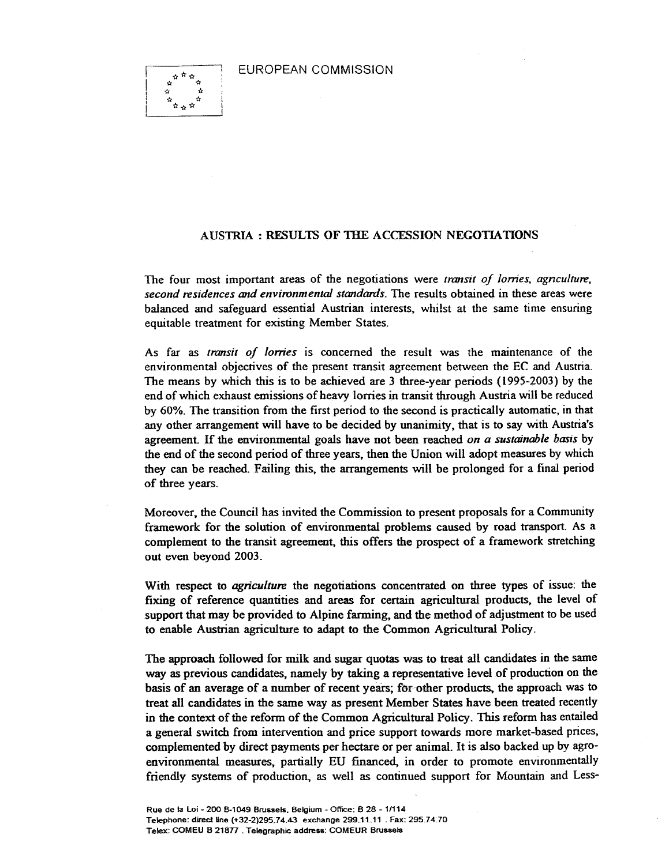EUROPEAN COMMISSION



## AUS1RIA : RESULTS OF THE ACCESSION NEGOTIATIONS

The four most important areas of the negotiations were transit of lorries, agnculture, second residences and environmental standards. The results obtained in these areas were balanced and safeguard essential Austrian interests, whilst at the same time ensuring equitable treatment for existing Member States.

As far as transit of lorries is concerned the result was the maintenance of the environmental objectives of the present transit agreement between the EC and Austria. The means by which this is to be achieved are 3 three-year periods (1995-2003) by the end of which exhaust emissions of heavy lorries in transit through Austria will be reduced by 60%. The transition from the first period to the second is practically automatic, in that any other arrangement will have to be decided by unanimity, that is to say with Austria's agreement. If the environmental goals have not been reached on a sustainable basis by the end of the second period of three years, then the Union will adopt measures by which they can be reached. Failing this, the arrangements will be prolonged for a final period of three years.

Moreover, the Council has invited the Commission to present proposals for a Community framework for the solution of environmental problems caused by road transport. As a complement to the transit agreement, this offers the prospect of a framework stretching out even beyond 2003.

With respect to *agriculture* the negotiations concentrated on three types of issue: the fixing of reference quantities and areas for certain agricultural products, the level of support that may be provided to Alpine farming, and the method of adjustment to be used to enable Austrian agriculture to adapt to the Common Agricultural Policy.

The approach followed for milk and sugar quotas was to treat all candidates in the same way as previous candidates, namely by taking a representative level of production on the basis of an average of a number of recent years; for other products, the approach was to treat all candidates in the same way as present Member States have been treated recently in the context of the reform of the Common Agricultural Policy. This reform has entailed a general switch from intervention and price support towards more market-based prices, complemented by direct payments per hectare or per animal. It is also backed up by agroenvironmental measures, partially EU financed, in order to promote environmentally friendly systems of production, as well as continued support for Mountain and Less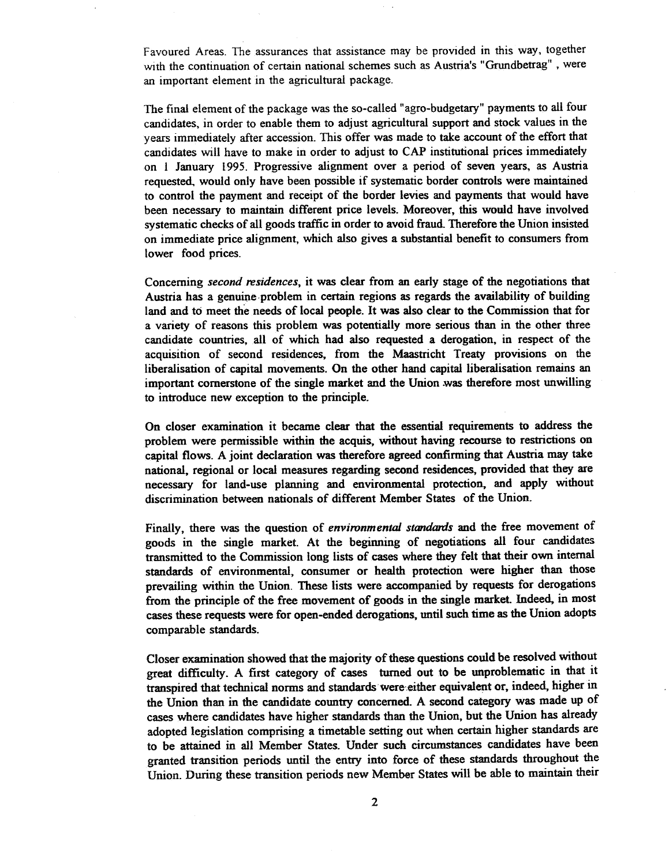Favoured Areas. The assurances that assistance may be provided in this way, together with the continuation of certain national schemes such as Austria's "Grundbetrag", were an important element in the agricultural package.

The final element of the package was the so-called " agro-budgetary" payments to all four candidates, in order to enable them to adjust agricultural support and stock values in the years immediately after accession. This offer was made to take account of the effort that candidates will have to make in order to adjust to CAP institutional prices immediately on I January 1995. Progressive alignment over a period of seven years, as Austria requested, would only have been possible if systematic border controls were maintained to control the payment and receipt of the border levies and payments that would have been necessary to maintain different price levels. Moreover, this would have involved systematic checks of all goods traffic in order to avoid fraud. Therefore the Union insisted on immediate price alignment, which also gives a substantial benefit to consumers from lower food prices.

Concerning *second residences*, it was clear from an early stage of the negotiations that Austria has a genuine. problem in certain regions as regards the availability of building land and to meet the needs of local people. It was also clear to the Commission that for a variety of reasons this problem was potentially more serious than in the other three candidate countries, all of which had also requested a derogation, in respect of the acquisition of second residences, from the Maastricht Treaty provisions on the liberalisation of capital movements. On the other hand capital liberalisation remains an important cornerstone of the single market and the Union was therefore most unwilling to introduce new exception to the principle.

On closer examination it became clear that the essential requirements to address the problem were permissible within the acquis, without having recourse to restrictions on capital flows. A joint declaration was therefore agreed confirming that Austria may take national, regional or local measures regarding second residences, provided that they are necessary for land-use planning and environmental protection, and apply without discrimination between nationals of different Member States of the Union.

Finally, there was the question of environmental standards and the free movement of goods in the single market. At the beginning of negotiations all four candidates transmitted to the Commission long lists of cases where they felt that their own internal standards of environmental, consumer or health protection were higher than those prevailing within the Union. These lists were accompanied by requests for derogations from the principle of the free movement of goods in the single market. Indeed, in most cases these requests were for open-ended derogations, until such time as the Union adopts comparable standards.

Closer examination showed that the majority of these questions could be resolved without great difficulty. A first category of cases turned out to be unproblematic in that it transpired that technical norms and standards were either equivalent or, indeed, higher in the Union than in the candidate country concerned. A second category was made up of cases where candidates have higher standards than the Union, but the Union has already adopted legislation comprising a timetable setting out when certain higher standards are to be attained in all Member States. Under such circumstances candidates have been granted transition periods until the entry into force of these standards throughout the Union. During these transition periods new Member States will be able to maintain their